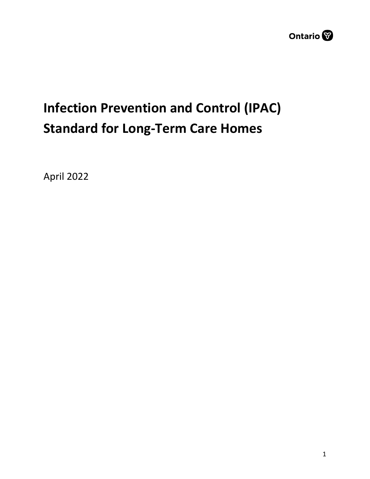

# **Infection Prevention and Control (IPAC) Standard for Long-Term Care Homes**

April 2022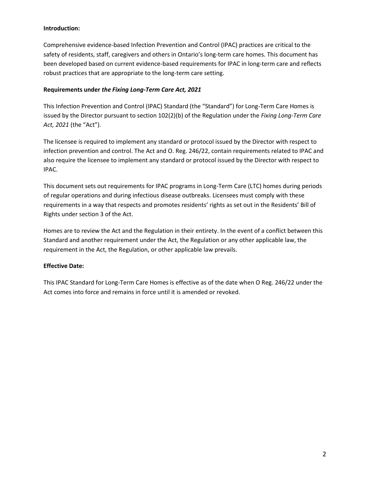### **Introduction:**

Comprehensive evidence-based Infection Prevention and Control (IPAC) practices are critical to the safety of residents, staff, caregivers and others in Ontario's long-term care homes. This document has been developed based on current evidence-based requirements for IPAC in long-term care and reflects robust practices that are appropriate to the long-term care setting.

#### **Requirements under** *the Fixing Long-Term Care Act, 2021*

This Infection Prevention and Control (IPAC) Standard (the "Standard") for Long-Term Care Homes is issued by the Director pursuant to section 102(2)(b) of the Regulation under the *Fixing Long-Term Care Act, 2021* (the "Act").

The licensee is required to implement any standard or protocol issued by the Director with respect to infection prevention and control. The Act and O. Reg. 246/22, contain requirements related to IPAC and also require the licensee to implement any standard or protocol issued by the Director with respect to IPAC.

This document sets out requirements for IPAC programs in Long-Term Care (LTC) homes during periods of regular operations and during infectious disease outbreaks. Licensees must comply with these requirements in a way that respects and promotes residents' rights as set out in the Residents' Bill of Rights under section 3 of the Act.

Homes are to review the Act and the Regulation in their entirety. In the event of a conflict between this Standard and another requirement under the Act, the Regulation or any other applicable law, the requirement in the Act, the Regulation, or other applicable law prevails.

### **Effective Date:**

This IPAC Standard for Long-Term Care Homes is effective as of the date when O Reg. 246/22 under the Act comes into force and remains in force until it is amended or revoked.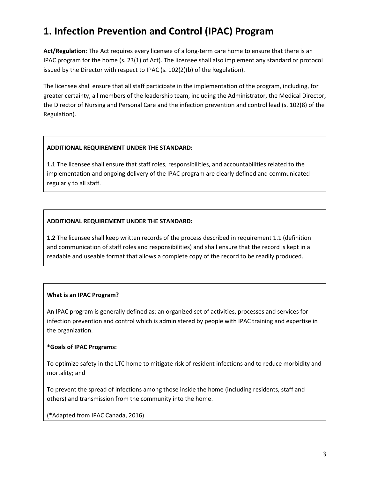# **1. Infection Prevention and Control (IPAC) Program**

**Act/Regulation:** The Act requires every licensee of a long-term care home to ensure that there is an IPAC program for the home (s. 23(1) of Act). The licensee shall also implement any standard or protocol issued by the Director with respect to IPAC (s. 102(2)(b) of the Regulation).

The licensee shall ensure that all staff participate in the implementation of the program, including, for greater certainty, all members of the leadership team, including the Administrator, the Medical Director, the Director of Nursing and Personal Care and the infection prevention and control lead (s. 102(8) of the Regulation).

### **ADDITIONAL REQUIREMENT UNDER THE STANDARD:**

**1.1** The licensee shall ensure that staff roles, responsibilities, and accountabilities related to the implementation and ongoing delivery of the IPAC program are clearly defined and communicated regularly to all staff.

### **ADDITIONAL REQUIREMENT UNDER THE STANDARD:**

**1.2** The licensee shall keep written records of the process described in requirement 1.1 (definition and communication of staff roles and responsibilities) and shall ensure that the record is kept in a readable and useable format that allows a complete copy of the record to be readily produced.

### **What is an IPAC Program?**

An IPAC program is generally defined as: an organized set of activities, processes and services for infection prevention and control which is administered by people with IPAC training and expertise in the organization.

### **\*Goals of IPAC Programs:**

To optimize safety in the LTC home to mitigate risk of resident infections and to reduce morbidity and mortality; and

To prevent the spread of infections among those inside the home (including residents, staff and others) and transmission from the community into the home.

(\*Adapted from IPAC Canada, 2016)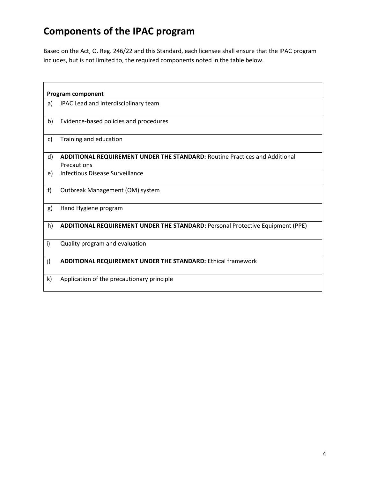### **Components of the IPAC program**

Based on the Act, O. Reg. 246/22 and this Standard, each licensee shall ensure that the IPAC program includes, but is not limited to, the required components noted in the table below.

| <b>Program component</b> |                                                                                                   |  |
|--------------------------|---------------------------------------------------------------------------------------------------|--|
| a)                       | IPAC Lead and interdisciplinary team                                                              |  |
| b)                       | Evidence-based policies and procedures                                                            |  |
| $\mathsf{c}$             | Training and education                                                                            |  |
| d)                       | <b>ADDITIONAL REQUIREMENT UNDER THE STANDARD: Routine Practices and Additional</b><br>Precautions |  |
| e)                       | <b>Infectious Disease Surveillance</b>                                                            |  |
| f                        | Outbreak Management (OM) system                                                                   |  |
| g)                       | Hand Hygiene program                                                                              |  |
| h)                       | ADDITIONAL REQUIREMENT UNDER THE STANDARD: Personal Protective Equipment (PPE)                    |  |
| i)                       | Quality program and evaluation                                                                    |  |
| j)                       | <b>ADDITIONAL REQUIREMENT UNDER THE STANDARD: Ethical framework</b>                               |  |
| k)                       | Application of the precautionary principle                                                        |  |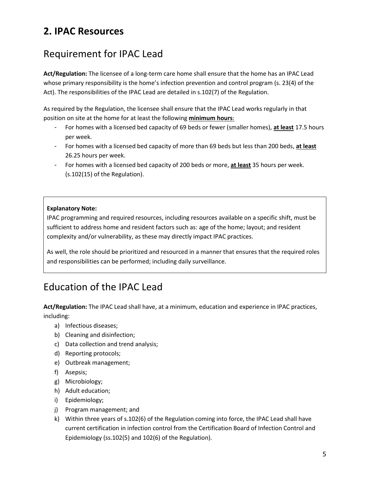### **2. IPAC Resources**

### Requirement for IPAC Lead

**Act/Regulation:** The licensee of a long-term care home shall ensure that the home has an IPAC Lead whose primary responsibility is the home's infection prevention and control program (s. 23(4) of the Act). The responsibilities of the IPAC Lead are detailed in s.102(7) of the Regulation.

As required by the Regulation, the licensee shall ensure that the IPAC Lead works regularly in that position on site at the home for at least the following **minimum hours**:

- For homes with a licensed bed capacity of 69 beds or fewer (smaller homes), **at least** 17.5 hours per week.
- For homes with a licensed bed capacity of more than 69 beds but less than 200 beds, **at least** 26.25 hours per week.
- For homes with a licensed bed capacity of 200 beds or more, **at least** 35 hours per week. (s.102(15) of the Regulation).

### **Explanatory Note:**

IPAC programming and required resources, including resources available on a specific shift, must be sufficient to address home and resident factors such as: age of the home; layout; and resident complexity and/or vulnerability, as these may directly impact IPAC practices.

As well, the role should be prioritized and resourced in a manner that ensures that the required roles and responsibilities can be performed; including daily surveillance.

### Education of the IPAC Lead

**Act/Regulation:** The IPAC Lead shall have, at a minimum, education and experience in IPAC practices, including:

- a) Infectious diseases;
- b) Cleaning and disinfection;
- c) Data collection and trend analysis;
- d) Reporting protocols;
- e) Outbreak management;
- f) Asepsis;
- g) Microbiology;
- h) Adult education;
- i) Epidemiology;
- j) Program management; and
- k) Within three years of s.102(6) of the Regulation coming into force, the IPAC Lead shall have current certification in infection control from the Certification Board of Infection Control and Epidemiology (ss.102(5) and 102(6) of the Regulation).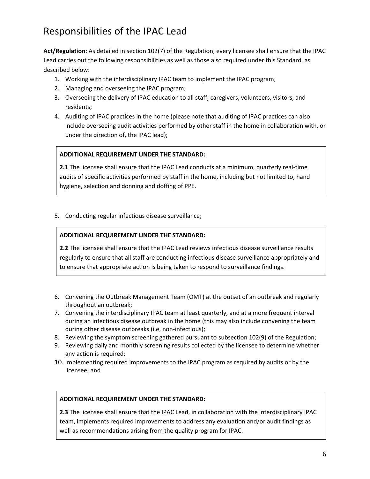### Responsibilities of the IPAC Lead

**Act/Regulation:** As detailed in section 102(7) of the Regulation, every licensee shall ensure that the IPAC Lead carries out the following responsibilities as well as those also required under this Standard, as described below:

- 1. Working with the interdisciplinary IPAC team to implement the IPAC program;
- 2. Managing and overseeing the IPAC program;
- 3. Overseeing the delivery of IPAC education to all staff, caregivers, volunteers, visitors, and residents;
- 4. Auditing of IPAC practices in the home (please note that auditing of IPAC practices can also include overseeing audit activities performed by other staff in the home in collaboration with, or under the direction of, the IPAC lead);

### **ADDITIONAL REQUIREMENT UNDER THE STANDARD:**

**2.1** The licensee shall ensure that the IPAC Lead conducts at a minimum, quarterly real-time audits of specific activities performed by staff in the home, including but not limited to, hand hygiene, selection and donning and doffing of PPE.

5. Conducting regular infectious disease surveillance;

#### **ADDITIONAL REQUIREMENT UNDER THE STANDARD:**

**2.2** The licensee shall ensure that the IPAC Lead reviews infectious disease surveillance results regularly to ensure that all staff are conducting infectious disease surveillance appropriately and to ensure that appropriate action is being taken to respond to surveillance findings.

- 6. Convening the Outbreak Management Team (OMT) at the outset of an outbreak and regularly throughout an outbreak;
- 7. Convening the interdisciplinary IPAC team at least quarterly, and at a more frequent interval during an infectious disease outbreak in the home (this may also include convening the team during other disease outbreaks (i.e, non-infectious);
- 8. Reviewing the symptom screening gathered pursuant to subsection 102(9) of the Regulation;
- 9. Reviewing daily and monthly screening results collected by the licensee to determine whether any action is required;
- 10. Implementing required improvements to the IPAC program as required by audits or by the licensee; and

### **ADDITIONAL REQUIREMENT UNDER THE STANDARD:**

**2.3** The licensee shall ensure that the IPAC Lead, in collaboration with the interdisciplinary IPAC team, implements required improvements to address any evaluation and/or audit findings as well as recommendations arising from the quality program for IPAC.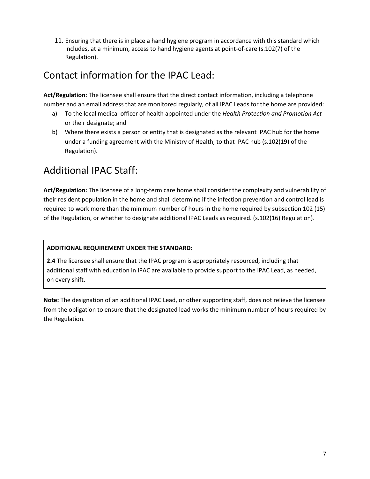11. Ensuring that there is in place a hand hygiene program in accordance with this standard which includes, at a minimum, access to hand hygiene agents at point-of-care (s.102(7) of the Regulation).

### Contact information for the IPAC Lead:

**Act/Regulation:** The licensee shall ensure that the direct contact information, including a telephone number and an email address that are monitored regularly, of all IPAC Leads for the home are provided:

- a) To the local medical officer of health appointed under the *Health Protection and Promotion Act* or their designate; and
- b) Where there exists a person or entity that is designated as the relevant IPAC hub for the home under a funding agreement with the Ministry of Health, to that IPAC hub (s.102(19) of the Regulation).

### Additional IPAC Staff:

**Act/Regulation:** The licensee of a long-term care home shall consider the complexity and vulnerability of their resident population in the home and shall determine if the infection prevention and control lead is required to work more than the minimum number of hours in the home required by subsection 102 (15) of the Regulation, or whether to designate additional IPAC Leads as required. (s.102(16) Regulation).

### **ADDITIONAL REQUIREMENT UNDER THE STANDARD:**

**2.4** The licensee shall ensure that the IPAC program is appropriately resourced, including that additional staff with education in IPAC are available to provide support to the IPAC Lead, as needed, on every shift.

**Note:** The designation of an additional IPAC Lead, or other supporting staff, does not relieve the licensee from the obligation to ensure that the designated lead works the minimum number of hours required by the Regulation.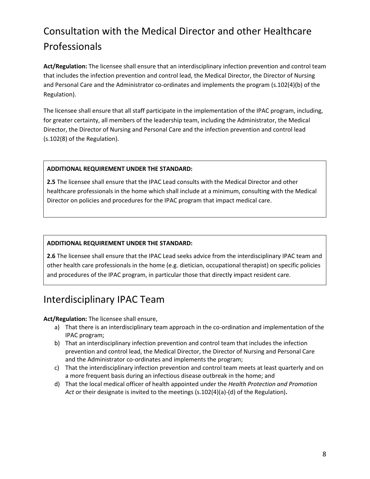# Consultation with the Medical Director and other Healthcare Professionals

**Act/Regulation:** The licensee shall ensure that an interdisciplinary infection prevention and control team that includes the infection prevention and control lead, the Medical Director, the Director of Nursing and Personal Care and the Administrator co-ordinates and implements the program (s.102(4)(b) of the Regulation).

The licensee shall ensure that all staff participate in the implementation of the IPAC program, including, for greater certainty, all members of the leadership team, including the Administrator, the Medical Director, the Director of Nursing and Personal Care and the infection prevention and control lead (s.102(8) of the Regulation).

### **ADDITIONAL REQUIREMENT UNDER THE STANDARD:**

**2.5** The licensee shall ensure that the IPAC Lead consults with the Medical Director and other healthcare professionals in the home which shall include at a minimum, consulting with the Medical Director on policies and procedures for the IPAC program that impact medical care.

#### **ADDITIONAL REQUIREMENT UNDER THE STANDARD:**

**2.6** The licensee shall ensure that the IPAC Lead seeks advice from the interdisciplinary IPAC team and other health care professionals in the home (e.g. dietician, occupational therapist) on specific policies and procedures of the IPAC program, in particular those that directly impact resident care.

### Interdisciplinary IPAC Team

### **Act/Regulation:** The licensee shall ensure,

- a) That there is an interdisciplinary team approach in the co-ordination and implementation of the IPAC program;
- b) That an interdisciplinary infection prevention and control team that includes the infection prevention and control lead, the Medical Director, the Director of Nursing and Personal Care and the Administrator co-ordinates and implements the program;
- c) That the interdisciplinary infection prevention and control team meets at least quarterly and on a more frequent basis during an infectious disease outbreak in the home; and
- d) That the local medical officer of health appointed under the *Health Protection and Promotion Act* or their designate is invited to the meetings (s.102(4)(a)-(d) of the Regulation)**.**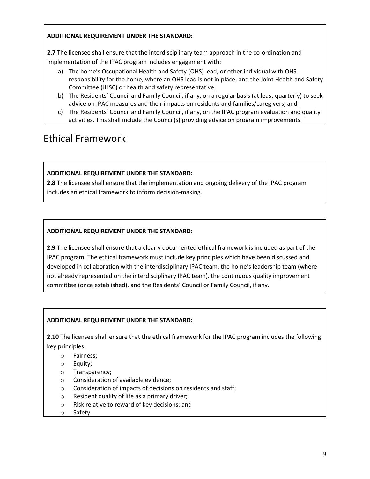### **ADDITIONAL REQUIREMENT UNDER THE STANDARD:**

**2.7** The licensee shall ensure that the interdisciplinary team approach in the co-ordination and implementation of the IPAC program includes engagement with:

- a) The home's Occupational Health and Safety (OHS) lead, or other individual with OHS responsibility for the home, where an OHS lead is not in place, and the Joint Health and Safety Committee (JHSC) or health and safety representative;
- b) The Residents' Council and Family Council, if any, on a regular basis (at least quarterly) to seek advice on IPAC measures and their impacts on residents and families/caregivers; and
- c) The Residents' Council and Family Council, if any, on the IPAC program evaluation and quality activities. This shall include the Council(s) providing advice on program improvements.

### Ethical Framework

### **ADDITIONAL REQUIREMENT UNDER THE STANDARD:**

**2.8** The licensee shall ensure that the implementation and ongoing delivery of the IPAC program includes an ethical framework to inform decision-making.

### **ADDITIONAL REQUIREMENT UNDER THE STANDARD:**

**2.9** The licensee shall ensure that a clearly documented ethical framework is included as part of the IPAC program. The ethical framework must include key principles which have been discussed and developed in collaboration with the interdisciplinary IPAC team, the home's leadership team (where not already represented on the interdisciplinary IPAC team), the continuous quality improvement committee (once established), and the Residents' Council or Family Council, if any.

### **ADDITIONAL REQUIREMENT UNDER THE STANDARD:**

**2.10** The licensee shall ensure that the ethical framework for the IPAC program includes the following key principles:

- o Fairness;
- o Equity;
- o Transparency;
- o Consideration of available evidence;
- o Consideration of impacts of decisions on residents and staff;
- o Resident quality of life as a primary driver;
- o Risk relative to reward of key decisions; and
- o Safety.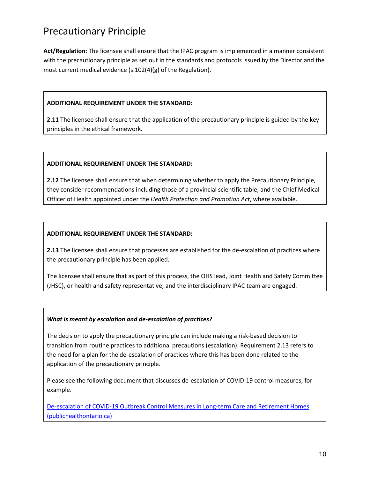### Precautionary Principle

**Act/Regulation:** The licensee shall ensure that the IPAC program is implemented in a manner consistent with the precautionary principle as set out in the standards and protocols issued by the Director and the most current medical evidence (s.102(4)(g) of the Regulation).

#### **ADDITIONAL REQUIREMENT UNDER THE STANDARD:**

**2.11** The licensee shall ensure that the application of the precautionary principle is guided by the key principles in the ethical framework.

#### **ADDITIONAL REQUIREMENT UNDER THE STANDARD:**

**2.12** The licensee shall ensure that when determining whether to apply the Precautionary Principle, they consider recommendations including those of a provincial scientific table, and the Chief Medical Officer of Health appointed under the *Health Protection and Promotion Act*, where available.

#### **ADDITIONAL REQUIREMENT UNDER THE STANDARD:**

**2.13** The licensee shall ensure that processes are established for the de-escalation of practices where the precautionary principle has been applied.

The licensee shall ensure that as part of this process, the OHS lead, Joint Health and Safety Committee (JHSC), or health and safety representative, and the interdisciplinary IPAC team are engaged.

#### *What is meant by escalation and de-escalation of practices?*

The decision to apply the precautionary principle can include making a risk-based decision to transition from routine practices to additional precautions (escalation). Requirement 2.13 refers to the need for a plan for the de-escalation of practices where this has been done related to the application of the precautionary principle.

Please see the following document that discusses de-escalation of COVID-19 control measures, for example.

De-escalation of COVID-19 Outbreak Control Measures in Long-term Care and Retirement Homes (publichealthontario.ca)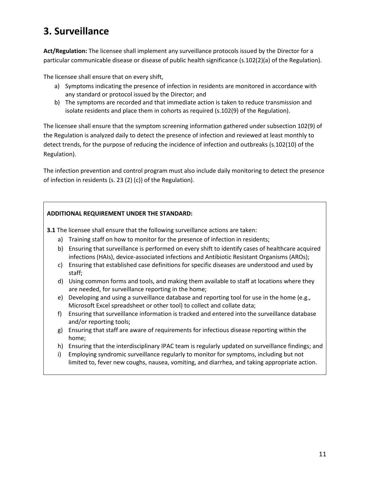### **3. Surveillance**

**Act/Regulation:** The licensee shall implement any surveillance protocols issued by the Director for a particular communicable disease or disease of public health significance (s.102(2)(a) of the Regulation).

The licensee shall ensure that on every shift,

- a) Symptoms indicating the presence of infection in residents are monitored in accordance with any standard or protocol issued by the Director; and
- b) The symptoms are recorded and that immediate action is taken to reduce transmission and isolate residents and place them in cohorts as required (s.102(9) of the Regulation).

The licensee shall ensure that the symptom screening information gathered under subsection 102(9) of the Regulation is analyzed daily to detect the presence of infection and reviewed at least monthly to detect trends, for the purpose of reducing the incidence of infection and outbreaks (s.102(10) of the Regulation).

The infection prevention and control program must also include daily monitoring to detect the presence of infection in residents (s. 23 (2) (c)) of the Regulation).

### **ADDITIONAL REQUIREMENT UNDER THE STANDARD:**

**3.1** The licensee shall ensure that the following surveillance actions are taken:

- a) Training staff on how to monitor for the presence of infection in residents;
- b) Ensuring that surveillance is performed on every shift to identify cases of healthcare acquired infections (HAIs), device-associated infections and Antibiotic Resistant Organisms (AROs);
- c) Ensuring that established case definitions for specific diseases are understood and used by staff;
- d) Using common forms and tools, and making them available to staff at locations where they are needed, for surveillance reporting in the home;
- e) Developing and using a surveillance database and reporting tool for use in the home (e.g., Microsoft Excel spreadsheet or other tool) to collect and collate data;
- f) Ensuring that surveillance information is tracked and entered into the surveillance database and/or reporting tools;
- g) Ensuring that staff are aware of requirements for infectious disease reporting within the home;
- h) Ensuring that the interdisciplinary IPAC team is regularly updated on surveillance findings; and
- i) Employing syndromic surveillance regularly to monitor for symptoms, including but not limited to, fever new coughs, nausea, vomiting, and diarrhea, and taking appropriate action.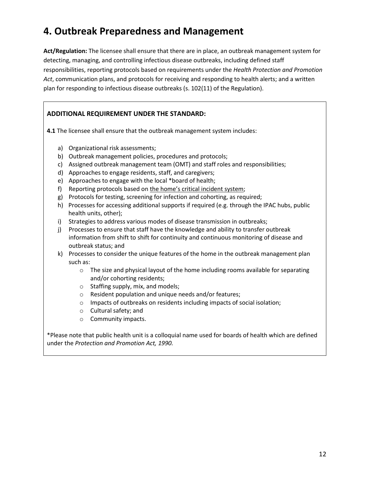### **4. Outbreak Preparedness and Management**

**Act/Regulation:** The licensee shall ensure that there are in place, an outbreak management system for detecting, managing, and controlling infectious disease outbreaks, including defined staff responsibilities, reporting protocols based on requirements under the *Health Protection and Promotion Act*, communication plans, and protocols for receiving and responding to health alerts; and a written plan for responding to infectious disease outbreaks (s. 102(11) of the Regulation).

### **ADDITIONAL REQUIREMENT UNDER THE STANDARD:**

**4.1** The licensee shall ensure that the outbreak management system includes:

- a) Organizational risk assessments;
- b) Outbreak management policies, procedures and protocols;
- c) Assigned outbreak management team (OMT) and staff roles and responsibilities;
- d) Approaches to engage residents, staff, and caregivers;
- e) Approaches to engage with the local \*board of health;
- f) Reporting protocols based on the home's critical incident system;
- g) Protocols for testing, screening for infection and cohorting, as required;
- h) Processes for accessing additional supports if required (e.g. through the IPAC hubs, public health units, other);
- i) Strategies to address various modes of disease transmission in outbreaks;
- j) Processes to ensure that staff have the knowledge and ability to transfer outbreak information from shift to shift for continuity and continuous monitoring of disease and outbreak status; and
- k) Processes to consider the unique features of the home in the outbreak management plan such as:
	- $\circ$  The size and physical layout of the home including rooms available for separating and/or cohorting residents;
	- o Staffing supply, mix, and models;
	- o Resident population and unique needs and/or features;
	- o Impacts of outbreaks on residents including impacts of social isolation;
	- o Cultural safety; and
	- o Community impacts.

\*Please note that public health unit is a colloquial name used for boards of health which are defined under the *Protection and Promotion Act, 1990.*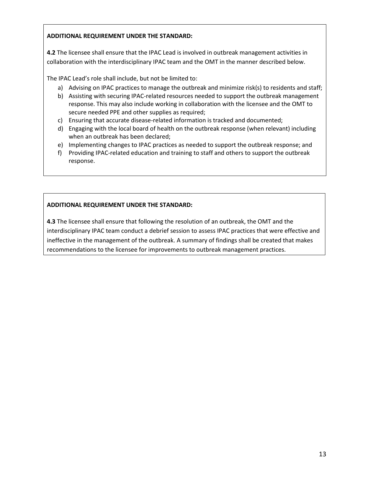### **ADDITIONAL REQUIREMENT UNDER THE STANDARD:**

**4.2** The licensee shall ensure that the IPAC Lead is involved in outbreak management activities in collaboration with the interdisciplinary IPAC team and the OMT in the manner described below.

The IPAC Lead's role shall include, but not be limited to:

- a) Advising on IPAC practices to manage the outbreak and minimize risk(s) to residents and staff;
- b) Assisting with securing IPAC-related resources needed to support the outbreak management response. This may also include working in collaboration with the licensee and the OMT to secure needed PPE and other supplies as required;
- c) Ensuring that accurate disease-related information is tracked and documented;
- d) Engaging with the local board of health on the outbreak response (when relevant) including when an outbreak has been declared;
- e) Implementing changes to IPAC practices as needed to support the outbreak response; and
- f) Providing IPAC-related education and training to staff and others to support the outbreak response.

### **ADDITIONAL REQUIREMENT UNDER THE STANDARD:**

**4.3** The licensee shall ensure that following the resolution of an outbreak, the OMT and the interdisciplinary IPAC team conduct a debrief session to assess IPAC practices that were effective and ineffective in the management of the outbreak. A summary of findings shall be created that makes recommendations to the licensee for improvements to outbreak management practices.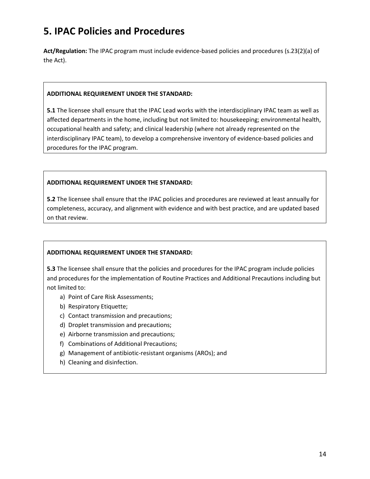### **5. IPAC Policies and Procedures**

**Act/Regulation:** The IPAC program must include evidence-based policies and procedures (s.23(2)(a) of the Act).

#### **ADDITIONAL REQUIREMENT UNDER THE STANDARD:**

**5.1** The licensee shall ensure that the IPAC Lead works with the interdisciplinary IPAC team as well as affected departments in the home, including but not limited to: housekeeping; environmental health, occupational health and safety; and clinical leadership (where not already represented on the interdisciplinary IPAC team), to develop a comprehensive inventory of evidence-based policies and procedures for the IPAC program.

### **ADDITIONAL REQUIREMENT UNDER THE STANDARD:**

**5.2** The licensee shall ensure that the IPAC policies and procedures are reviewed at least annually for completeness, accuracy, and alignment with evidence and with best practice, and are updated based on that review.

### **ADDITIONAL REQUIREMENT UNDER THE STANDARD:**

**5.3** The licensee shall ensure that the policies and procedures for the IPAC program include policies and procedures for the implementation of Routine Practices and Additional Precautions including but not limited to:

- a) Point of Care Risk Assessments;
- b) Respiratory Etiquette;
- c) Contact transmission and precautions;
- d) Droplet transmission and precautions;
- e) Airborne transmission and precautions;
- f) Combinations of Additional Precautions;
- g) Management of antibiotic-resistant organisms (AROs); and
- h) Cleaning and disinfection.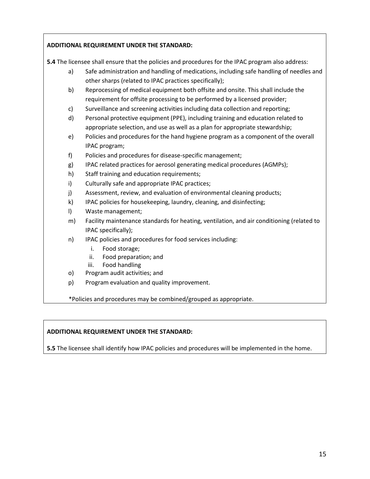### **ADDITIONAL REQUIREMENT UNDER THE STANDARD:**

**5.4** The licensee shall ensure that the policies and procedures for the IPAC program also address:

- a) Safe administration and handling of medications, including safe handling of needles and other sharps (related to IPAC practices specifically);
- b) Reprocessing of medical equipment both offsite and onsite. This shall include the requirement for offsite processing to be performed by a licensed provider;
- c) Surveillance and screening activities including data collection and reporting;
- d) Personal protective equipment (PPE), including training and education related to appropriate selection, and use as well as a plan for appropriate stewardship;
- e) Policies and procedures for the hand hygiene program as a component of the overall IPAC program;
- f) Policies and procedures for disease-specific management;
- g) IPAC related practices for aerosol generating medical procedures (AGMPs);
- h) Staff training and education requirements;
- i) Culturally safe and appropriate IPAC practices;
- j) Assessment, review, and evaluation of environmental cleaning products;
- k) IPAC policies for housekeeping, laundry, cleaning, and disinfecting;
- l) Waste management;
- m) Facility maintenance standards for heating, ventilation, and air conditioning (related to IPAC specifically);
- n) IPAC policies and procedures for food services including:
	- i. Food storage;
	- ii. Food preparation; and
	- iii. Food handling
- o) Program audit activities; and
- p) Program evaluation and quality improvement.

\*Policies and procedures may be combined/grouped as appropriate.

### **ADDITIONAL REQUIREMENT UNDER THE STANDARD:**

**5.5** The licensee shall identify how IPAC policies and procedures will be implemented in the home.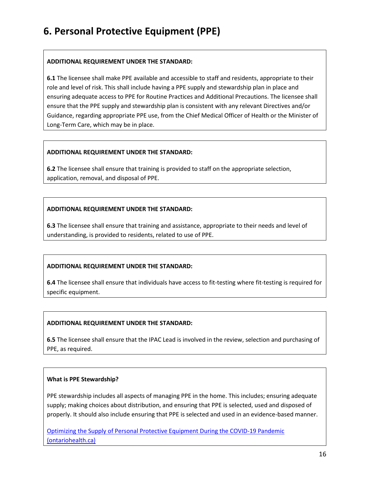### **6. Personal Protective Equipment (PPE)**

#### **ADDITIONAL REQUIREMENT UNDER THE STANDARD:**

**6.1** The licensee shall make PPE available and accessible to staff and residents, appropriate to their role and level of risk. This shall include having a PPE supply and stewardship plan in place and ensuring adequate access to PPE for Routine Practices and Additional Precautions. The licensee shall ensure that the PPE supply and stewardship plan is consistent with any relevant Directives and/or Guidance, regarding appropriate PPE use, from the Chief Medical Officer of Health or the Minister of Long-Term Care, which may be in place.

#### **ADDITIONAL REQUIREMENT UNDER THE STANDARD:**

**6.2** The licensee shall ensure that training is provided to staff on the appropriate selection, application, removal, and disposal of PPE.

### **ADDITIONAL REQUIREMENT UNDER THE STANDARD:**

**6.3** The licensee shall ensure that training and assistance, appropriate to their needs and level of understanding, is provided to residents, related to use of PPE.

### **ADDITIONAL REQUIREMENT UNDER THE STANDARD:**

**6.4** The licensee shall ensure that individuals have access to fit-testing where fit-testing is required for specific equipment.

### **ADDITIONAL REQUIREMENT UNDER THE STANDARD:**

**6.5** The licensee shall ensure that the IPAC Lead is involved in the review, selection and purchasing of PPE, as required.

#### **What is PPE Stewardship?**

PPE stewardship includes all aspects of managing PPE in the home. This includes; ensuring adequate supply; making choices about distribution, and ensuring that PPE is selected, used and disposed of properly. It should also include ensuring that PPE is selected and used in an evidence-based manner.

Optimizing the Supply of Personal Protective Equipment During the COVID-19 Pandemic (ontariohealth.ca)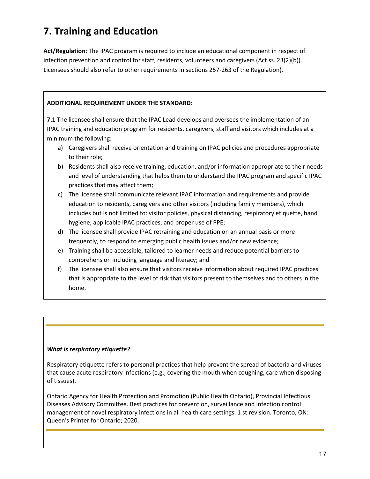# **7. Training and Education**

**Act/Regulation:** The IPAC program is required to include an educational component in respect of infection prevention and control for staff, residents, volunteers and caregivers (Act ss. 23(2)(b)). Licensees should also refer to other requirements in sections 257-263 of the Regulation).

### **ADDITIONAL REQUIREMENT UNDER THE STANDARD:**

**7.1** The licensee shall ensure that the IPAC Lead develops and oversees the implementation of an IPAC training and education program for residents, caregivers, staff and visitors which includes at a minimum the following:

- a) Caregivers shall receive orientation and training on IPAC policies and procedures appropriate to their role;
- b) Residents shall also receive training, education, and/or information appropriate to their needs and level of understanding that helps them to understand the IPAC program and specific IPAC practices that may affect them;
- c) The licensee shall communicate relevant IPAC information and requirements and provide education to residents, caregivers and other visitors (including family members), which includes but is not limited to: visitor policies, physical distancing, respiratory etiquette, hand hygiene, applicable IPAC practices, and proper use of PPE;
- d) The licensee shall provide IPAC retraining and education on an annual basis or more frequently, to respond to emerging public health issues and/or new evidence;
- e) Training shall be accessible, tailored to learner needs and reduce potential barriers to comprehension including language and literacy; and
- f) The licensee shall also ensure that visitors receive information about required IPAC practices that is appropriate to the level of risk that visitors present to themselves and to others in the home.

### *What is respiratory etiquette?*

Respiratory etiquette refers to personal practices that help prevent the spread of bacteria and viruses that cause acute respiratory infections (e.g., covering the mouth when coughing, care when disposing of tissues).

Ontario Agency for Health Protection and Promotion (Public Health Ontario), Provincial Infectious Diseases Advisory Committee. Best practices for prevention, surveillance and infection control management of novel respiratory infections in all health care settings. 1 st revision. Toronto, ON: Queen's Printer for Ontario; 2020.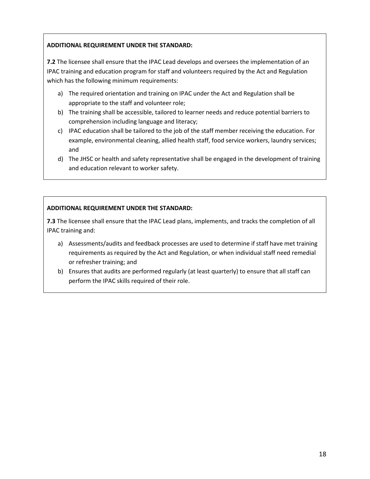### **ADDITIONAL REQUIREMENT UNDER THE STANDARD:**

**7.2** The licensee shall ensure that the IPAC Lead develops and oversees the implementation of an IPAC training and education program for staff and volunteers required by the Act and Regulation which has the following minimum requirements:

- a) The required orientation and training on IPAC under the Act and Regulation shall be appropriate to the staff and volunteer role;
- b) The training shall be accessible, tailored to learner needs and reduce potential barriers to comprehension including language and literacy;
- c) IPAC education shall be tailored to the job of the staff member receiving the education. For example, environmental cleaning, allied health staff, food service workers, laundry services; and
- d) The JHSC or health and safety representative shall be engaged in the development of training and education relevant to worker safety.

### **ADDITIONAL REQUIREMENT UNDER THE STANDARD:**

**7.3** The licensee shall ensure that the IPAC Lead plans, implements, and tracks the completion of all IPAC training and:

- a) Assessments/audits and feedback processes are used to determine if staff have met training requirements as required by the Act and Regulation, or when individual staff need remedial or refresher training; and
- b) Ensures that audits are performed regularly (at least quarterly) to ensure that all staff can perform the IPAC skills required of their role.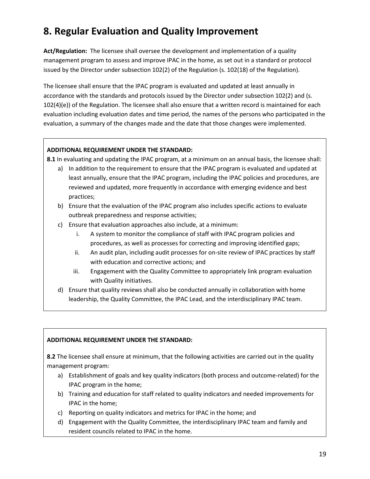# **8. Regular Evaluation and Quality Improvement**

**Act/Regulation:** The licensee shall oversee the development and implementation of a quality management program to assess and improve IPAC in the home, as set out in a standard or protocol issued by the Director under subsection 102(2) of the Regulation (s. 102(18) of the Regulation).

The licensee shall ensure that the IPAC program is evaluated and updated at least annually in accordance with the standards and protocols issued by the Director under subsection 102(2) and (s. 102(4)(e)) of the Regulation. The licensee shall also ensure that a written record is maintained for each evaluation including evaluation dates and time period, the names of the persons who participated in the evaluation, a summary of the changes made and the date that those changes were implemented.

#### **ADDITIONAL REQUIREMENT UNDER THE STANDARD:**

**8.1** In evaluating and updating the IPAC program, at a minimum on an annual basis, the licensee shall:

- a) In addition to the requirement to ensure that the IPAC program is evaluated and updated at least annually, ensure that the IPAC program, including the IPAC policies and procedures, are reviewed and updated, more frequently in accordance with emerging evidence and best practices;
- b) Ensure that the evaluation of the IPAC program also includes specific actions to evaluate outbreak preparedness and response activities;
- c) Ensure that evaluation approaches also include, at a minimum:
	- i. A system to monitor the compliance of staff with IPAC program policies and procedures, as well as processes for correcting and improving identified gaps;
	- ii. An audit plan, including audit processes for on-site review of IPAC practices by staff with education and corrective actions; and
	- iii. Engagement with the Quality Committee to appropriately link program evaluation with Quality initiatives.
- d) Ensure that quality reviews shall also be conducted annually in collaboration with home leadership, the Quality Committee, the IPAC Lead, and the interdisciplinary IPAC team.

### **ADDITIONAL REQUIREMENT UNDER THE STANDARD:**

**8.2** The licensee shall ensure at minimum, that the following activities are carried out in the quality management program:

- a) Establishment of goals and key quality indicators (both process and outcome-related) for the IPAC program in the home;
- b) Training and education for staff related to quality indicators and needed improvements for IPAC in the home;
- c) Reporting on quality indicators and metrics for IPAC in the home; and
- d) Engagement with the Quality Committee, the interdisciplinary IPAC team and family and resident councils related to IPAC in the home.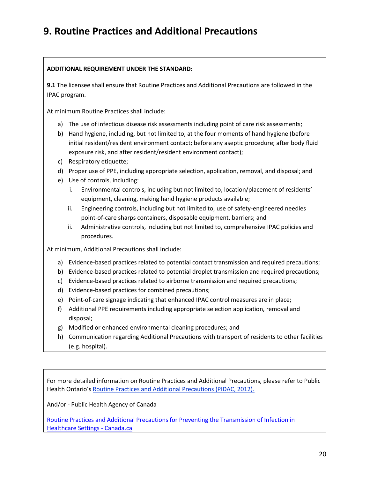### **9. Routine Practices and Additional Precautions**

### **ADDITIONAL REQUIREMENT UNDER THE STANDARD:**

**9.1** The licensee shall ensure that Routine Practices and Additional Precautions are followed in the IPAC program.

At minimum Routine Practices shall include:

- a) The use of infectious disease risk assessments including point of care risk assessments;
- b) Hand hygiene, including, but not limited to, at the four moments of hand hygiene (before initial resident/resident environment contact; before any aseptic procedure; after body fluid exposure risk, and after resident/resident environment contact);
- c) Respiratory etiquette;
- d) Proper use of PPE, including appropriate selection, application, removal, and disposal; and
- e) Use of controls, including:
	- i. Environmental controls, including but not limited to, location/placement of residents' equipment, cleaning, making hand hygiene products available;
	- ii. Engineering controls, including but not limited to, use of safety-engineered needles point-of-care sharps containers, disposable equipment, barriers; and
	- iii. Administrative controls, including but not limited to, comprehensive IPAC policies and procedures.

At minimum, Additional Precautions shall include:

- a) Evidence-based practices related to potential contact transmission and required precautions;
- b) Evidence-based practices related to potential droplet transmission and required precautions;
- c) Evidence-based practices related to airborne transmission and required precautions;
- d) Evidence-based practices for combined precautions;
- e) Point-of-care signage indicating that enhanced IPAC control measures are in place;
- f) Additional PPE requirements including appropriate selection application, removal and disposal;
- g) Modified or enhanced environmental cleaning procedures; and
- h) Communication regarding Additional Precautions with transport of residents to other facilities (e.g. hospital).

For more detailed information on Routine Practices and Additional Precautions, please refer to Public Health Ontario's Routine Practices and Additional Precautions (PIDAC, 2012).

And/or - Public Health Agency of Canada

Routine Practices and Additional Precautions for Preventing the Transmission of Infection in Healthcare Settings - Canada.ca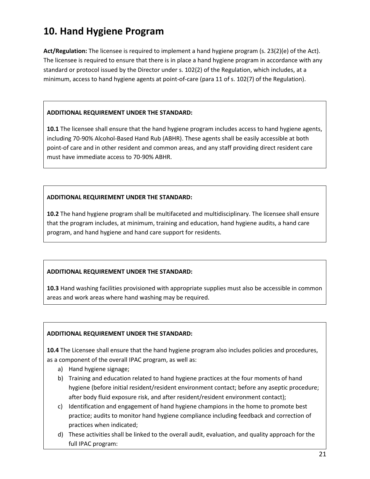# **10. Hand Hygiene Program**

**Act/Regulation:** The licensee is required to implement a hand hygiene program (s. 23(2)(e) of the Act). The licensee is required to ensure that there is in place a hand hygiene program in accordance with any standard or protocol issued by the Director under s. 102(2) of the Regulation, which includes, at a minimum, access to hand hygiene agents at point-of-care (para 11 of s. 102(7) of the Regulation).

### **ADDITIONAL REQUIREMENT UNDER THE STANDARD:**

**10.1** The licensee shall ensure that the hand hygiene program includes access to hand hygiene agents, including 70-90% Alcohol-Based Hand Rub (ABHR). These agents shall be easily accessible at both point-of care and in other resident and common areas, and any staff providing direct resident care must have immediate access to 70-90% ABHR.

### **ADDITIONAL REQUIREMENT UNDER THE STANDARD:**

**10.2** The hand hygiene program shall be multifaceted and multidisciplinary. The licensee shall ensure that the program includes, at minimum, training and education, hand hygiene audits, a hand care program, and hand hygiene and hand care support for residents.

### **ADDITIONAL REQUIREMENT UNDER THE STANDARD:**

**10.3** Hand washing facilities provisioned with appropriate supplies must also be accessible in common areas and work areas where hand washing may be required.

### **ADDITIONAL REQUIREMENT UNDER THE STANDARD:**

**10.4** The Licensee shall ensure that the hand hygiene program also includes policies and procedures, as a component of the overall IPAC program, as well as:

- a) Hand hygiene signage;
- b) Training and education related to hand hygiene practices at the four moments of hand hygiene (before initial resident/resident environment contact; before any aseptic procedure; after body fluid exposure risk, and after resident/resident environment contact);
- c) Identification and engagement of hand hygiene champions in the home to promote best practice; audits to monitor hand hygiene compliance including feedback and correction of practices when indicated;
- d) These activities shall be linked to the overall audit, evaluation, and quality approach for the full IPAC program: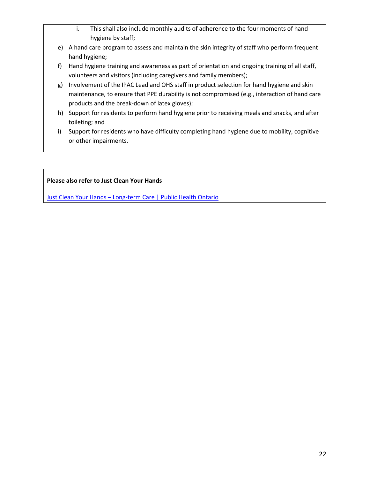- i. This shall also include monthly audits of adherence to the four moments of hand hygiene by staff;
- e) A hand care program to assess and maintain the skin integrity of staff who perform frequent hand hygiene;
- f) Hand hygiene training and awareness as part of orientation and ongoing training of all staff, volunteers and visitors (including caregivers and family members);
- g) Involvement of the IPAC Lead and OHS staff in product selection for hand hygiene and skin maintenance, to ensure that PPE durability is not compromised (e.g., interaction of hand care products and the break-down of latex gloves);
- h) Support for residents to perform hand hygiene prior to receiving meals and snacks, and after toileting; and
- i) Support for residents who have difficulty completing hand hygiene due to mobility, cognitive or other impairments.

### **Please also refer to Just Clean Your Hands**

Just Clean Your Hands – Long-term Care | Public Health Ontario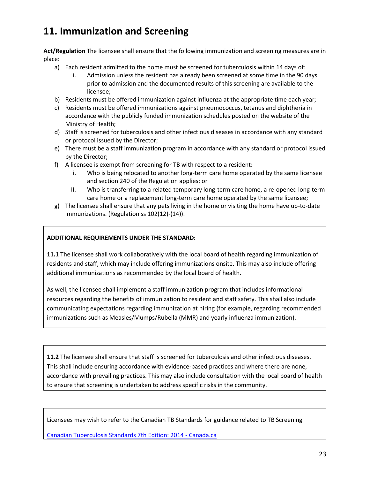# **11. Immunization and Screening**

**Act/Regulation** The licensee shall ensure that the following immunization and screening measures are in place:

- a) Each resident admitted to the home must be screened for tuberculosis within 14 days of:
	- i. Admission unless the resident has already been screened at some time in the 90 days prior to admission and the documented results of this screening are available to the licensee;
- b) Residents must be offered immunization against influenza at the appropriate time each year;
- c) Residents must be offered immunizations against pneumococcus, tetanus and diphtheria in accordance with the publicly funded immunization schedules posted on the website of the Ministry of Health;
- d) Staff is screened for tuberculosis and other infectious diseases in accordance with any standard or protocol issued by the Director;
- e) There must be a staff immunization program in accordance with any standard or protocol issued by the Director;
- f) A licensee is exempt from screening for TB with respect to a resident:
	- i. Who is being relocated to another long-term care home operated by the same licensee and section 240 of the Regulation applies; or
	- ii. Who is transferring to a related temporary long-term care home, a re-opened long-term care home or a replacement long-term care home operated by the same licensee;
- g) The licensee shall ensure that any pets living in the home or visiting the home have up-to-date immunizations. (Regulation ss 102(12)-(14)).

### **ADDITIONAL REQUIREMENTS UNDER THE STANDARD:**

**11.1** The licensee shall work collaboratively with the local board of health regarding immunization of residents and staff, which may include offering immunizations onsite. This may also include offering additional immunizations as recommended by the local board of health.

As well, the licensee shall implement a staff immunization program that includes informational resources regarding the benefits of immunization to resident and staff safety. This shall also include communicating expectations regarding immunization at hiring (for example, regarding recommended immunizations such as Measles/Mumps/Rubella (MMR) and yearly influenza immunization).

**11.2** The licensee shall ensure that staff is screened for tuberculosis and other infectious diseases. This shall include ensuring accordance with evidence-based practices and where there are none, accordance with prevailing practices. This may also include consultation with the local board of health to ensure that screening is undertaken to address specific risks in the community.

Licensees may wish to refer to the Canadian TB Standards for guidance related to TB Screening

Canadian Tuberculosis Standards 7th Edition: 2014 - Canada.ca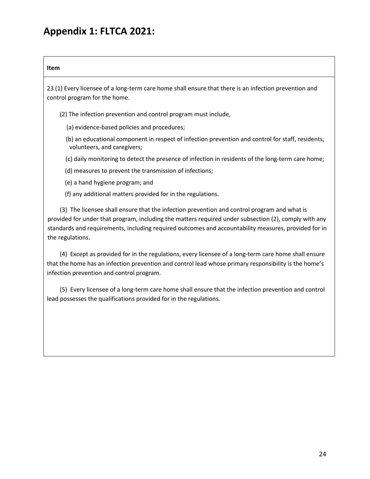# **Appendix 1: FLTCA 2021:**

| control program for the home.             | 23 (1) Every licensee of a long-term care home shall ensure that there is an infection prevention and                                                                                                                                                                                                        |
|-------------------------------------------|--------------------------------------------------------------------------------------------------------------------------------------------------------------------------------------------------------------------------------------------------------------------------------------------------------------|
|                                           |                                                                                                                                                                                                                                                                                                              |
|                                           | (2) The infection prevention and control program must include,                                                                                                                                                                                                                                               |
|                                           | (a) evidence-based policies and procedures;                                                                                                                                                                                                                                                                  |
| volunteers, and caregivers;               | (b) an educational component in respect of infection prevention and control for staff, residents,                                                                                                                                                                                                            |
|                                           | (c) daily monitoring to detect the presence of infection in residents of the long-term care home;                                                                                                                                                                                                            |
|                                           | (d) measures to prevent the transmission of infections;                                                                                                                                                                                                                                                      |
| (e) a hand hygiene program; and           |                                                                                                                                                                                                                                                                                                              |
|                                           | (f) any additional matters provided for in the regulations.                                                                                                                                                                                                                                                  |
| the regulations.                          | (3) The licensee shall ensure that the infection prevention and control program and what is<br>provided for under that program, including the matters required under subsection (2), comply with any<br>standards and requirements, including required outcomes and accountability measures, provided for in |
| infection prevention and control program. | (4) Except as provided for in the regulations, every licensee of a long-term care home shall ensure<br>that the home has an infection prevention and control lead whose primary responsibility is the home's                                                                                                 |
|                                           | (5) Every licensee of a long-term care home shall ensure that the infection prevention and control<br>lead possesses the qualifications provided for in the regulations.                                                                                                                                     |
|                                           |                                                                                                                                                                                                                                                                                                              |
|                                           |                                                                                                                                                                                                                                                                                                              |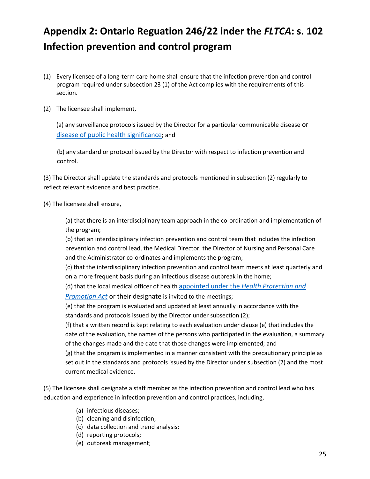# **Appendix 2: Ontario Reguation 246/22 inder the** *FLTCA***: s. 102 Infection prevention and control program**

- (1) Every licensee of a long-term care home shall ensure that the infection prevention and control program required under subsection 23 (1) of the Act complies with the requirements of this section.
- (2) The licensee shall implement,

(a) any surveillance protocols issued by the Director for a particular communicable disease or disease of public health significance; and

(b) any standard or protocol issued by the Director with respect to infection prevention and control.

(3) The Director shall update the standards and protocols mentioned in subsection (2) regularly to reflect relevant evidence and best practice.

(4) The licensee shall ensure,

(a) that there is an interdisciplinary team approach in the co-ordination and implementation of the program;

(b) that an interdisciplinary infection prevention and control team that includes the infection prevention and control lead, the Medical Director, the Director of Nursing and Personal Care and the Administrator co-ordinates and implements the program;

(c) that the interdisciplinary infection prevention and control team meets at least quarterly and on a more frequent basis during an infectious disease outbreak in the home;

(d) that the local medical officer of health appointed under the *Health Protection and* 

*Promotion Act* or their designate is invited to the meetings;

(e) that the program is evaluated and updated at least annually in accordance with the standards and protocols issued by the Director under subsection (2);

(f) that a written record is kept relating to each evaluation under clause (e) that includes the date of the evaluation, the names of the persons who participated in the evaluation, a summary of the changes made and the date that those changes were implemented; and

(g) that the program is implemented in a manner consistent with the precautionary principle as set out in the standards and protocols issued by the Director under subsection (2) and the most current medical evidence.

(5) The licensee shall designate a staff member as the infection prevention and control lead who has education and experience in infection prevention and control practices, including,

- (a) infectious diseases;
- (b) cleaning and disinfection;
- (c) data collection and trend analysis;
- (d) reporting protocols;
- (e) outbreak management;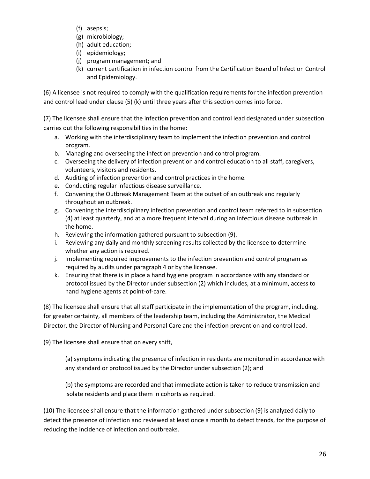- (f) asepsis;
- (g) microbiology;
- (h) adult education;
- (i) epidemiology;
- (j) program management; and
- (k) current certification in infection control from the Certification Board of Infection Control and Epidemiology.

(6) A licensee is not required to comply with the qualification requirements for the infection prevention and control lead under clause (5) (k) until three years after this section comes into force.

(7) The licensee shall ensure that the infection prevention and control lead designated under subsection carries out the following responsibilities in the home:

- a. Working with the interdisciplinary team to implement the infection prevention and control program.
- b. Managing and overseeing the infection prevention and control program.
- c. Overseeing the delivery of infection prevention and control education to all staff, caregivers, volunteers, visitors and residents.
- d. Auditing of infection prevention and control practices in the home.
- e. Conducting regular infectious disease surveillance.
- f. Convening the Outbreak Management Team at the outset of an outbreak and regularly throughout an outbreak.
- g. Convening the interdisciplinary infection prevention and control team referred to in subsection (4) at least quarterly, and at a more frequent interval during an infectious disease outbreak in the home.
- h. Reviewing the information gathered pursuant to subsection (9).
- i. Reviewing any daily and monthly screening results collected by the licensee to determine whether any action is required.
- j. Implementing required improvements to the infection prevention and control program as required by audits under paragraph 4 or by the licensee.
- k. Ensuring that there is in place a hand hygiene program in accordance with any standard or protocol issued by the Director under subsection (2) which includes, at a minimum, access to hand hygiene agents at point-of-care.

(8) The licensee shall ensure that all staff participate in the implementation of the program, including, for greater certainty, all members of the leadership team, including the Administrator, the Medical Director, the Director of Nursing and Personal Care and the infection prevention and control lead.

(9) The licensee shall ensure that on every shift,

(a) symptoms indicating the presence of infection in residents are monitored in accordance with any standard or protocol issued by the Director under subsection (2); and

(b) the symptoms are recorded and that immediate action is taken to reduce transmission and isolate residents and place them in cohorts as required.

(10) The licensee shall ensure that the information gathered under subsection (9) is analyzed daily to detect the presence of infection and reviewed at least once a month to detect trends, for the purpose of reducing the incidence of infection and outbreaks.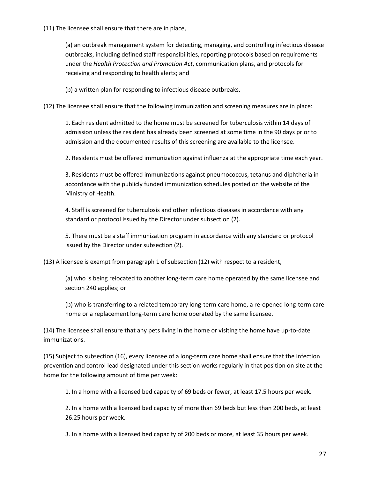(11) The licensee shall ensure that there are in place,

(a) an outbreak management system for detecting, managing, and controlling infectious disease outbreaks, including defined staff responsibilities, reporting protocols based on requirements under the *Health Protection and Promotion Act*, communication plans, and protocols for receiving and responding to health alerts; and

(b) a written plan for responding to infectious disease outbreaks.

(12) The licensee shall ensure that the following immunization and screening measures are in place:

1. Each resident admitted to the home must be screened for tuberculosis within 14 days of admission unless the resident has already been screened at some time in the 90 days prior to admission and the documented results of this screening are available to the licensee.

2. Residents must be offered immunization against influenza at the appropriate time each year.

3. Residents must be offered immunizations against pneumococcus, tetanus and diphtheria in accordance with the publicly funded immunization schedules posted on the website of the Ministry of Health.

4. Staff is screened for tuberculosis and other infectious diseases in accordance with any standard or protocol issued by the Director under subsection (2).

5. There must be a staff immunization program in accordance with any standard or protocol issued by the Director under subsection (2).

(13) A licensee is exempt from paragraph 1 of subsection (12) with respect to a resident,

(a) who is being relocated to another long-term care home operated by the same licensee and section 240 applies; or

(b) who is transferring to a related temporary long-term care home, a re-opened long-term care home or a replacement long-term care home operated by the same licensee.

(14) The licensee shall ensure that any pets living in the home or visiting the home have up-to-date immunizations.

(15) Subject to subsection (16), every licensee of a long-term care home shall ensure that the infection prevention and control lead designated under this section works regularly in that position on site at the home for the following amount of time per week:

1. In a home with a licensed bed capacity of 69 beds or fewer, at least 17.5 hours per week.

2. In a home with a licensed bed capacity of more than 69 beds but less than 200 beds, at least 26.25 hours per week.

3. In a home with a licensed bed capacity of 200 beds or more, at least 35 hours per week.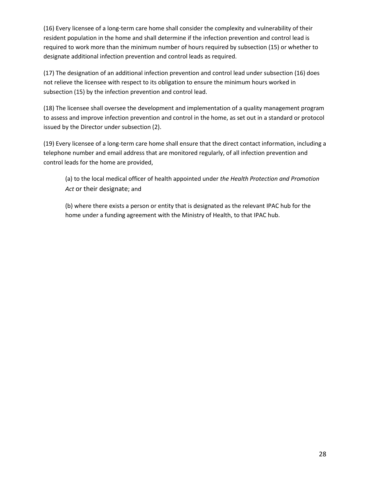(16) Every licensee of a long-term care home shall consider the complexity and vulnerability of their resident population in the home and shall determine if the infection prevention and control lead is required to work more than the minimum number of hours required by subsection (15) or whether to designate additional infection prevention and control leads as required.

(17) The designation of an additional infection prevention and control lead under subsection (16) does not relieve the licensee with respect to its obligation to ensure the minimum hours worked in subsection (15) by the infection prevention and control lead.

(18) The licensee shall oversee the development and implementation of a quality management program to assess and improve infection prevention and control in the home, as set out in a standard or protocol issued by the Director under subsection (2).

(19) Every licensee of a long-term care home shall ensure that the direct contact information, including a telephone number and email address that are monitored regularly, of all infection prevention and control leads for the home are provided,

(a) to the local medical officer of health appointed under *the Health Protection and Promotion Act* or their designate; and

(b) where there exists a person or entity that is designated as the relevant IPAC hub for the home under a funding agreement with the Ministry of Health, to that IPAC hub.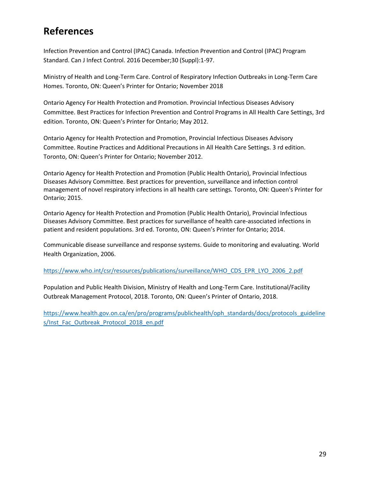### **References**

Infection Prevention and Control (IPAC) Canada. Infection Prevention and Control (IPAC) Program Standard. Can J Infect Control. 2016 December;30 (Suppl):1-97.

Ministry of Health and Long-Term Care. Control of Respiratory Infection Outbreaks in Long-Term Care Homes. Toronto, ON: Queen's Printer for Ontario; November 2018

Ontario Agency For Health Protection and Promotion. Provincial Infectious Diseases Advisory Committee. Best Practices for Infection Prevention and Control Programs in All Health Care Settings, 3rd edition. Toronto, ON: Queen's Printer for Ontario; May 2012.

Ontario Agency for Health Protection and Promotion, Provincial Infectious Diseases Advisory Committee. Routine Practices and Additional Precautions in All Health Care Settings. 3 rd edition. Toronto, ON: Queen's Printer for Ontario; November 2012.

Ontario Agency for Health Protection and Promotion (Public Health Ontario), Provincial Infectious Diseases Advisory Committee. Best practices for prevention, surveillance and infection control management of novel respiratory infections in all health care settings. Toronto, ON: Queen's Printer for Ontario; 2015.

Ontario Agency for Health Protection and Promotion (Public Health Ontario), Provincial Infectious Diseases Advisory Committee. Best practices for surveillance of health care-associated infections in patient and resident populations. 3rd ed. Toronto, ON: Queen's Printer for Ontario; 2014.

Communicable disease surveillance and response systems. Guide to monitoring and evaluating. World Health Organization, 2006.

https://www.who.int/csr/resources/publications/surveillance/WHO\_CDS\_EPR\_LYO\_2006\_2.pdf

Population and Public Health Division, Ministry of Health and Long-Term Care. Institutional/Facility Outbreak Management Protocol, 2018. Toronto, ON: Queen's Printer of Ontario, 2018.

https://www.health.gov.on.ca/en/pro/programs/publichealth/oph\_standards/docs/protocols\_guideline s/Inst\_Fac\_Outbreak\_Protocol\_2018\_en.pdf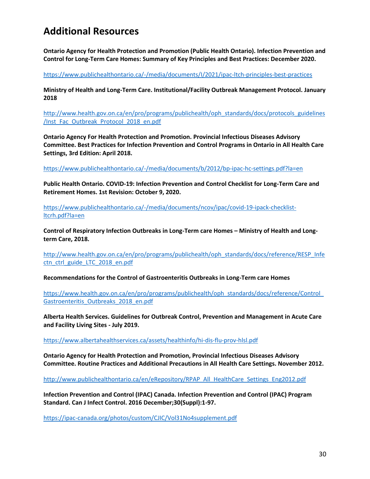### **Additional Resources**

**Ontario Agency for Health Protection and Promotion (Public Health Ontario). Infection Prevention and Control for Long-Term Care Homes: Summary of Key Principles and Best Practices: December 2020.**

https://www.publichealthontario.ca/-/media/documents/I/2021/ipac-ltch-principles-best-practices

**Ministry of Health and Long-Term Care. Institutional/Facility Outbreak Management Protocol. January 2018** 

http://www.health.gov.on.ca/en/pro/programs/publichealth/oph\_standards/docs/protocols\_guidelines /Inst\_Fac\_Outbreak\_Protocol\_2018\_en.pdf

**Ontario Agency For Health Protection and Promotion. Provincial Infectious Diseases Advisory Committee. Best Practices for Infection Prevention and Control Programs in Ontario in All Health Care Settings, 3rd Edition: April 2018.**

https://www.publichealthontario.ca/-/media/documents/b/2012/bp-ipac-hc-settings.pdf?la=en

**Public Health Ontario. COVID-19: Infection Prevention and Control Checklist for Long-Term Care and Retirement Homes. 1st Revision: October 9, 2020.**

https://www.publichealthontario.ca/-/media/documents/ncov/ipac/covid-19-ipack-checklistltcrh.pdf?la=en

**Control of Respiratory Infection Outbreaks in Long-Term care Homes – Ministry of Health and Longterm Care, 2018.**

http://www.health.gov.on.ca/en/pro/programs/publichealth/oph\_standards/docs/reference/RESP\_Infe ctn\_ctrl\_guide\_LTC\_2018\_en.pdf

**Recommendations for the Control of Gastroenteritis Outbreaks in Long-Term care Homes** 

https://www.health.gov.on.ca/en/pro/programs/publichealth/oph\_standards/docs/reference/Control\_ Gastroenteritis\_Outbreaks\_2018\_en.pdf

**Alberta Health Services. Guidelines for Outbreak Control, Prevention and Management in Acute Care and Facility Living Sites - July 2019.**

https://www.albertahealthservices.ca/assets/healthinfo/hi-dis-flu-prov-hlsl.pdf

**Ontario Agency for Health Protection and Promotion, Provincial Infectious Diseases Advisory Committee. Routine Practices and Additional Precautions in All Health Care Settings. November 2012.**

http://www.publichealthontario.ca/en/eRepository/RPAP\_All\_HealthCare\_Settings\_Eng2012.pdf

**Infection Prevention and Control (IPAC) Canada. Infection Prevention and Control (IPAC) Program Standard. Can J Infect Control. 2016 December;30(Suppl):1-97.**

https://ipac-canada.org/photos/custom/CJIC/Vol31No4supplement.pdf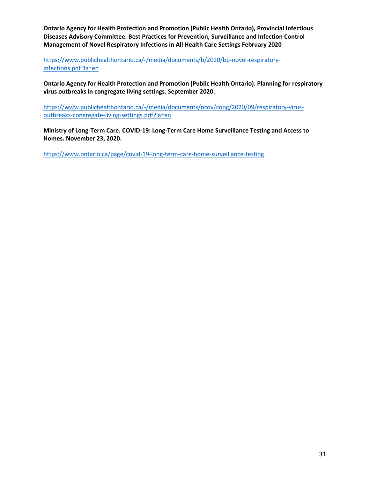**Ontario Agency for Health Protection and Promotion (Public Health Ontario), Provincial Infectious Diseases Advisory Committee. Best Practices for Prevention, Surveillance and Infection Control Management of Novel Respiratory Infections in All Health Care Settings February 2020**

https://www.publichealthontario.ca/-/media/documents/b/2020/bp-novel-respiratoryinfections.pdf?la=en

**Ontario Agency for Health Protection and Promotion (Public Health Ontario). Planning for respiratory virus outbreaks in congregate living settings. September 2020.**

https://www.publichealthontario.ca/-/media/documents/ncov/cong/2020/09/respiratory-virusoutbreaks-congregate-living-settings.pdf?la=en

**Ministry of Long-Term Care. COVID-19: Long-Term Care Home Surveillance Testing and Access to Homes. November 23, 2020.**

https://www.ontario.ca/page/covid-19-long-term-care-home-surveillance-testing